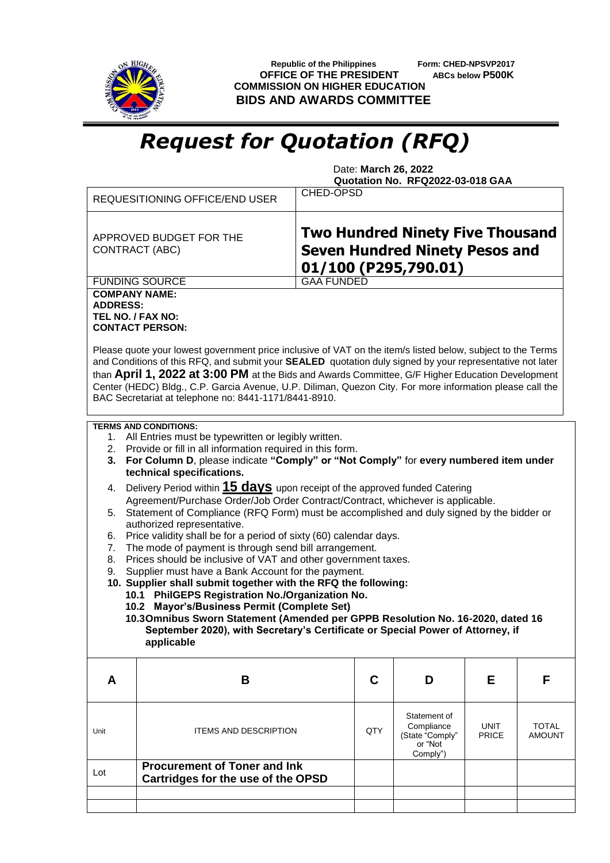

**Republic of the Philippines Form: CHED-NPSVP2017 OFFICE OF THE PRESIDENT COMMISSION ON HIGHER EDUCATION BIDS AND AWARDS COMMITTEE**

## *Request for Quotation (RFQ)*

Date: **March 26, 2022 Quotation No. RFQ2022-03-018 GAA**

|                                                                                                                                                                                                                                                                                                                                                                                                                                                                                                                                                                                                                                                                                                                                                                                                                                                                                                                                                                                                                                                                                                                                                                                                                             | <b>REQUESITIONING OFFICE/END USER</b>                                     | CHED-OPSD                                                                                                |                                                                      |                      |                        |  |  |  |  |
|-----------------------------------------------------------------------------------------------------------------------------------------------------------------------------------------------------------------------------------------------------------------------------------------------------------------------------------------------------------------------------------------------------------------------------------------------------------------------------------------------------------------------------------------------------------------------------------------------------------------------------------------------------------------------------------------------------------------------------------------------------------------------------------------------------------------------------------------------------------------------------------------------------------------------------------------------------------------------------------------------------------------------------------------------------------------------------------------------------------------------------------------------------------------------------------------------------------------------------|---------------------------------------------------------------------------|----------------------------------------------------------------------------------------------------------|----------------------------------------------------------------------|----------------------|------------------------|--|--|--|--|
|                                                                                                                                                                                                                                                                                                                                                                                                                                                                                                                                                                                                                                                                                                                                                                                                                                                                                                                                                                                                                                                                                                                                                                                                                             | APPROVED BUDGET FOR THE<br>CONTRACT (ABC)                                 | <b>Two Hundred Ninety Five Thousand</b><br><b>Seven Hundred Ninety Pesos and</b><br>01/100 (P295,790.01) |                                                                      |                      |                        |  |  |  |  |
| <b>GAA FUNDED</b><br><b>FUNDING SOURCE</b>                                                                                                                                                                                                                                                                                                                                                                                                                                                                                                                                                                                                                                                                                                                                                                                                                                                                                                                                                                                                                                                                                                                                                                                  |                                                                           |                                                                                                          |                                                                      |                      |                        |  |  |  |  |
| <b>COMPANY NAME:</b><br><b>ADDRESS:</b><br>TEL NO. / FAX NO:<br><b>CONTACT PERSON:</b><br>Please quote your lowest government price inclusive of VAT on the item/s listed below, subject to the Terms<br>and Conditions of this RFQ, and submit your SEALED quotation duly signed by your representative not later<br>than April 1, 2022 at 3:00 PM at the Bids and Awards Committee, G/F Higher Education Development<br>Center (HEDC) Bldg., C.P. Garcia Avenue, U.P. Diliman, Quezon City. For more information please call the<br>BAC Secretariat at telephone no: 8441-1171/8441-8910.                                                                                                                                                                                                                                                                                                                                                                                                                                                                                                                                                                                                                                 |                                                                           |                                                                                                          |                                                                      |                      |                        |  |  |  |  |
| <b>TERMS AND CONDITIONS:</b><br>1. All Entries must be typewritten or legibly written.<br>2. Provide or fill in all information required in this form.<br>For Column D, please indicate "Comply" or "Not Comply" for every numbered item under<br>3.<br>technical specifications.<br>Delivery Period within 15 days upon receipt of the approved funded Catering<br>4.<br>Agreement/Purchase Order/Job Order Contract/Contract, whichever is applicable.<br>Statement of Compliance (RFQ Form) must be accomplished and duly signed by the bidder or<br>5.<br>authorized representative.<br>Price validity shall be for a period of sixty (60) calendar days.<br>6.<br>The mode of payment is through send bill arrangement.<br>7.<br>Prices should be inclusive of VAT and other government taxes.<br>8.<br>Supplier must have a Bank Account for the payment.<br>9.<br>10. Supplier shall submit together with the RFQ the following:<br>10.1 PhilGEPS Registration No./Organization No.<br>10.2 Mayor's/Business Permit (Complete Set)<br>10.30mnibus Sworn Statement (Amended per GPPB Resolution No. 16-2020, dated 16<br>September 2020), with Secretary's Certificate or Special Power of Attorney, if<br>applicable |                                                                           |                                                                                                          |                                                                      |                      |                        |  |  |  |  |
| A                                                                                                                                                                                                                                                                                                                                                                                                                                                                                                                                                                                                                                                                                                                                                                                                                                                                                                                                                                                                                                                                                                                                                                                                                           | В                                                                         | C                                                                                                        | D                                                                    | Е                    | F                      |  |  |  |  |
| Unit                                                                                                                                                                                                                                                                                                                                                                                                                                                                                                                                                                                                                                                                                                                                                                                                                                                                                                                                                                                                                                                                                                                                                                                                                        | <b>ITEMS AND DESCRIPTION</b>                                              | QTY                                                                                                      | Statement of<br>Compliance<br>(State "Comply"<br>or "Not<br>Comply") | UNIT<br><b>PRICE</b> | <b>TOTAL</b><br>AMOUNT |  |  |  |  |
| Lot                                                                                                                                                                                                                                                                                                                                                                                                                                                                                                                                                                                                                                                                                                                                                                                                                                                                                                                                                                                                                                                                                                                                                                                                                         | <b>Procurement of Toner and Ink</b><br>Cartridges for the use of the OPSD |                                                                                                          |                                                                      |                      |                        |  |  |  |  |
|                                                                                                                                                                                                                                                                                                                                                                                                                                                                                                                                                                                                                                                                                                                                                                                                                                                                                                                                                                                                                                                                                                                                                                                                                             |                                                                           |                                                                                                          |                                                                      |                      |                        |  |  |  |  |
|                                                                                                                                                                                                                                                                                                                                                                                                                                                                                                                                                                                                                                                                                                                                                                                                                                                                                                                                                                                                                                                                                                                                                                                                                             |                                                                           |                                                                                                          |                                                                      |                      |                        |  |  |  |  |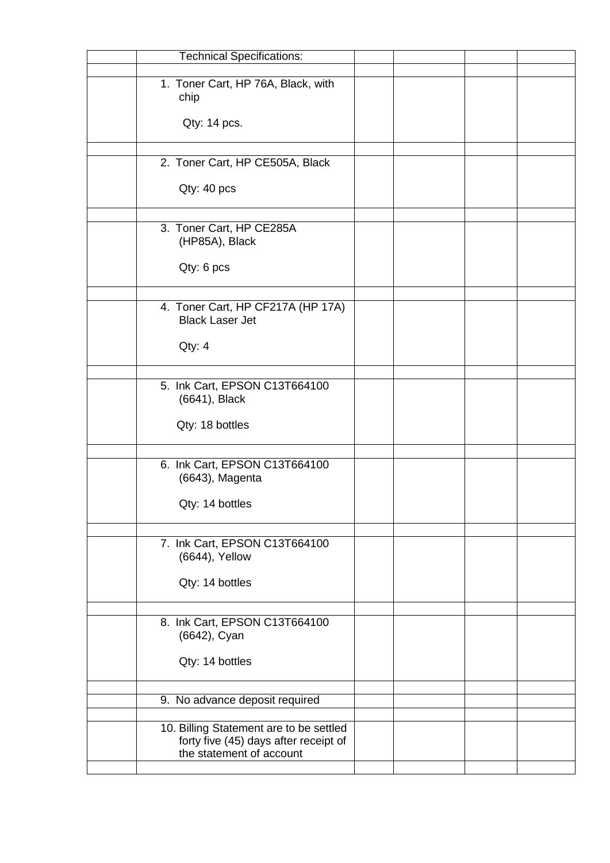| <b>Technical Specifications:</b>                                                 |  |  |
|----------------------------------------------------------------------------------|--|--|
|                                                                                  |  |  |
| 1. Toner Cart, HP 76A, Black, with<br>chip                                       |  |  |
| Qty: 14 pcs.                                                                     |  |  |
|                                                                                  |  |  |
| 2. Toner Cart, HP CE505A, Black                                                  |  |  |
| Qty: 40 pcs                                                                      |  |  |
|                                                                                  |  |  |
| 3. Toner Cart, HP CE285A<br>(HP85A), Black                                       |  |  |
| Qty: 6 pcs                                                                       |  |  |
|                                                                                  |  |  |
| 4. Toner Cart, HP CF217A (HP 17A)<br><b>Black Laser Jet</b>                      |  |  |
| Qty: 4                                                                           |  |  |
|                                                                                  |  |  |
| 5. Ink Cart, EPSON C13T664100<br>(6641), Black                                   |  |  |
| Qty: 18 bottles                                                                  |  |  |
|                                                                                  |  |  |
| 6. Ink Cart, EPSON C13T664100<br>(6643), Magenta                                 |  |  |
| Qty: 14 bottles                                                                  |  |  |
|                                                                                  |  |  |
| 7. Ink Cart, EPSON C13T664100<br>(6644), Yellow                                  |  |  |
| Qty: 14 bottles                                                                  |  |  |
|                                                                                  |  |  |
| 8. Ink Cart, EPSON C13T664100<br>(6642), Cyan                                    |  |  |
| Qty: 14 bottles                                                                  |  |  |
|                                                                                  |  |  |
|                                                                                  |  |  |
| 9. No advance deposit required                                                   |  |  |
| 10. Billing Statement are to be settled<br>forty five (45) days after receipt of |  |  |
| the statement of account                                                         |  |  |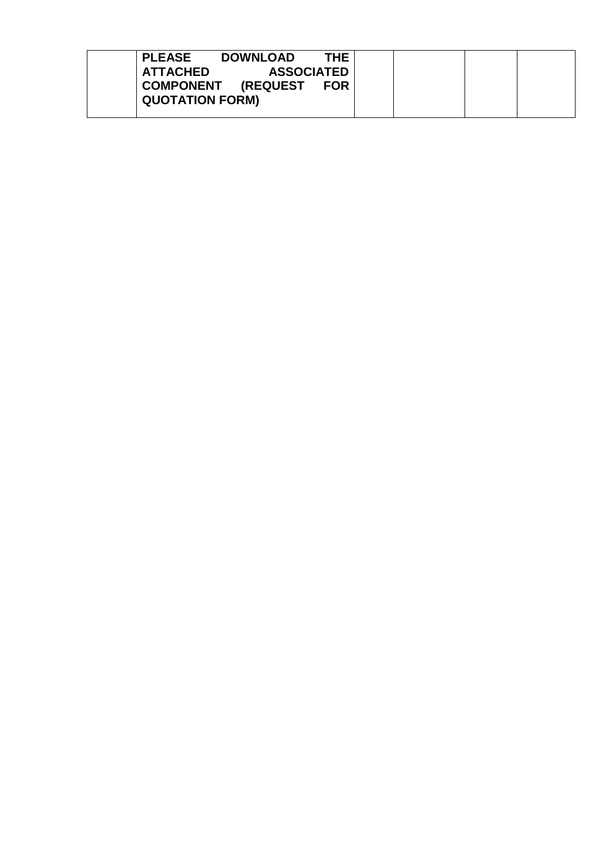| <b>PLEASE</b><br>THE <sub>1</sub><br><b>DOWNLOAD</b> |  |  |
|------------------------------------------------------|--|--|
| <b>ASSOCIATED</b><br><b>ATTACHED</b>                 |  |  |
| <b>COMPONENT (REQUEST</b><br><b>FOR</b>              |  |  |
| <b>QUOTATION FORM)</b>                               |  |  |
|                                                      |  |  |